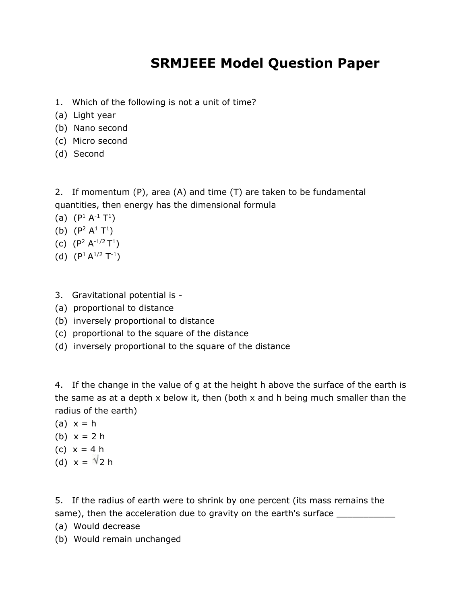### **SRMJEEE Model Question Paper**

- 1. Which of the following is not a unit of time?
- (a) Light year
- (b) Nano second
- (c) Micro second
- (d) Second

2. If momentum (P), area (A) and time (T) are taken to be fundamental quantities, then energy has the dimensional formula

- (a)  $(P^1 A^{-1} T^1)$
- (b)  $(P^2 A^1 T^1)$
- (c)  $(P^2 A^{-1/2} T^1)$
- (d)  $(P^1 A^{1/2} T^{-1})$
- 3. Gravitational potential is -
- (a) proportional to distance
- (b) inversely proportional to distance
- (c) proportional to the square of the distance
- (d) inversely proportional to the square of the distance

4. If the change in the value of g at the height h above the surface of the earth is the same as at a depth x below it, then (both x and h being much smaller than the radius of the earth)

- (a)  $x = h$
- (b)  $x = 2 h$
- (c) x = 4 h
- (d)  $x = \sqrt{2} h$

5. If the radius of earth were to shrink by one percent (its mass remains the same), then the acceleration due to gravity on the earth's surface \_\_\_\_\_\_\_\_\_\_\_\_\_

- (a) Would decrease
- (b) Would remain unchanged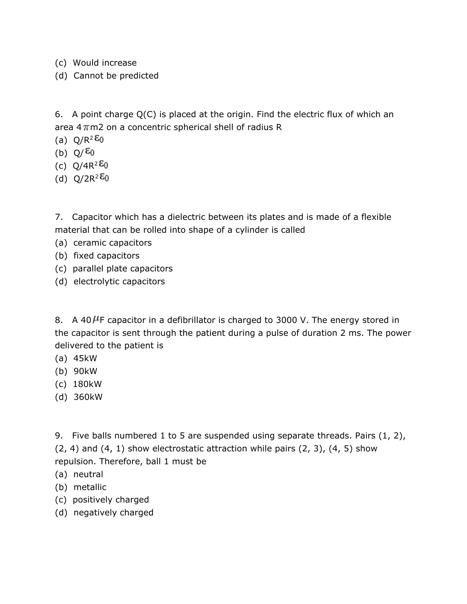- (c) Would increase
- (d) Cannot be predicted

6. A point charge Q(C) is placed at the origin. Find the electric flux of which an area  $4\pi$ m2 on a concentric spherical shell of radius R

- (a)  $Q/R^2$   $\epsilon_0$
- (b)  $Q/\epsilon_0$
- (c)  $Q/4R^2 \epsilon_0$
- (d)  $Q/2R^2 \epsilon_0$

7. Capacitor which has a dielectric between its plates and is made of a flexible material that can be rolled into shape of a cylinder is called

- (a) ceramic capacitors
- (b) fixed capacitors
- (c) parallel plate capacitors
- (d) electrolytic capacitors

8. A 40  $\mu$ F capacitor in a defibrillator is charged to 3000 V. The energy stored in the capacitor is sent through the patient during a pulse of duration 2 ms. The power delivered to the patient is

- (a) 45kW
- (b) 90kW
- (c) 180kW
- (d) 360kW

9. Five balls numbered 1 to 5 are suspended using separate threads. Pairs (1, 2),

 $(2, 4)$  and  $(4, 1)$  show electrostatic attraction while pairs  $(2, 3)$ ,  $(4, 5)$  show

- repulsion. Therefore, ball 1 must be
- (a) neutral
- (b) metallic
- (c) positively charged
- (d) negatively charged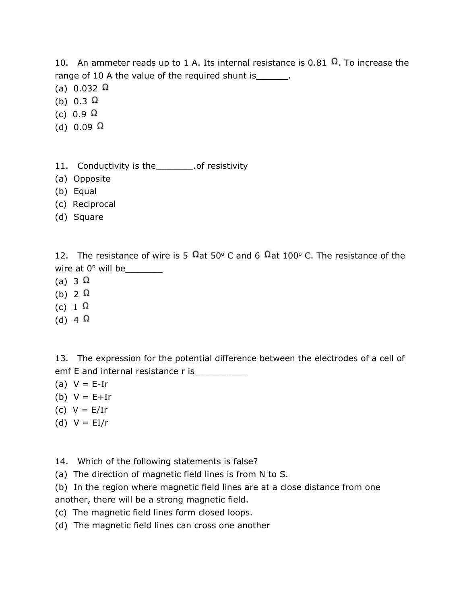10. An ammeter reads up to 1 A. Its internal resistance is 0.81  $\Omega$ . To increase the range of 10 A the value of the required shunt is Theorem 2.

- (a)  $0.032 \Omega$
- (b) 0.3  $\Omega$
- (c) 0.9  $\Omega$
- (d)  $0.09 \Omega$
- 11. Conductivity is the\_\_\_\_\_\_\_.of resistivity
- (a) Opposite
- (b) Equal
- (c) Reciprocal
- (d) Square

12. The resistance of wire is 5  $\Omega$  at 50° C and 6  $\Omega$  at 100° C. The resistance of the wire at  $0^\circ$  will be

- (a) 3  $\Omega$
- (b)  $2 \Omega$
- (c)  $1 \Omega$
- (d) 4  $\Omega$

13. The expression for the potential difference between the electrodes of a cell of emf E and internal resistance r is

- (a)  $V = E-Ir$
- (b)  $V = E + Ir$
- (c) V = E/Ir
- (d)  $V = EI/r$
- 14. Which of the following statements is false?
- (a) The direction of magnetic field lines is from N to S.
- (b) In the region where magnetic field lines are at a close distance from one another, there will be a strong magnetic field.
- (c) The magnetic field lines form closed loops.
- (d) The magnetic field lines can cross one another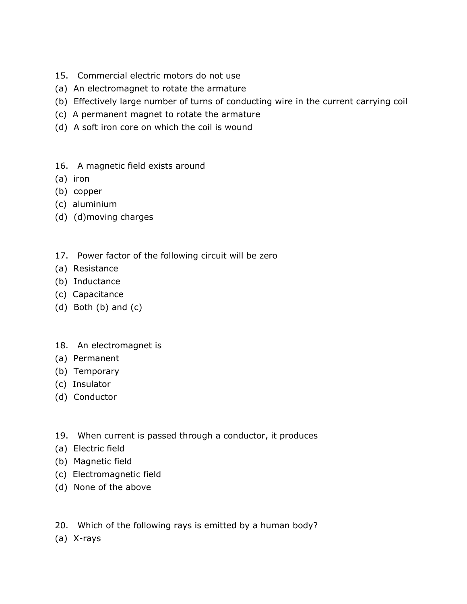- 15. Commercial electric motors do not use
- (a) An electromagnet to rotate the armature
- (b) Effectively large number of turns of conducting wire in the current carrying coil
- (c) A permanent magnet to rotate the armature
- (d) A soft iron core on which the coil is wound
- 16. A magnetic field exists around
- (a) iron
- (b) copper
- (c) aluminium
- (d) (d)moving charges
- 17. Power factor of the following circuit will be zero
- (a) Resistance
- (b) Inductance
- (c) Capacitance
- (d) Both (b) and (c)
- 18. An electromagnet is
- (a) Permanent
- (b) Temporary
- (c) Insulator
- (d) Conductor
- 19. When current is passed through a conductor, it produces
- (a) Electric field
- (b) Magnetic field
- (c) Electromagnetic field
- (d) None of the above
- 20. Which of the following rays is emitted by a human body?
- (a) X-rays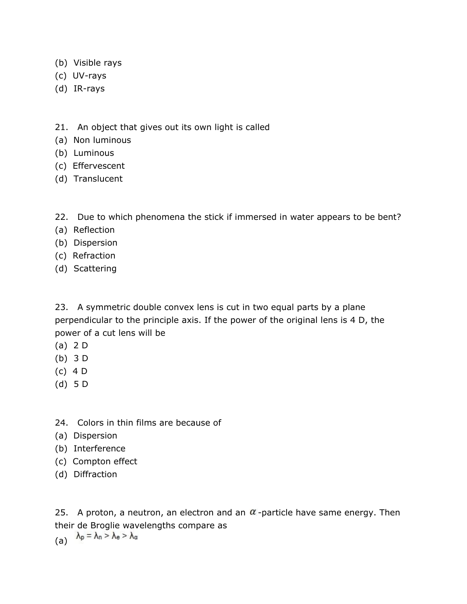- (b) Visible rays
- (c) UV-rays
- (d) IR-rays
- 21. An object that gives out its own light is called
- (a) Non luminous
- (b) Luminous
- (c) Effervescent
- (d) Translucent
- 22. Due to which phenomena the stick if immersed in water appears to be bent?
- (a) Reflection
- (b) Dispersion
- (c) Refraction
- (d) Scattering

23. A symmetric double convex lens is cut in two equal parts by a plane perpendicular to the principle axis. If the power of the original lens is 4 D, the power of a cut lens will be

- (a) 2 D
- (b) 3 D
- (c) 4 D
- (d) 5 D
- 24. Colors in thin films are because of
- (a) Dispersion
- (b) Interference
- (c) Compton effect
- (d) Diffraction

25. A proton, a neutron, an electron and an  $\alpha$ -particle have same energy. Then their de Broglie wavelengths compare as

(a)  $\lambda_p = \lambda_n > \lambda_e > \lambda_a$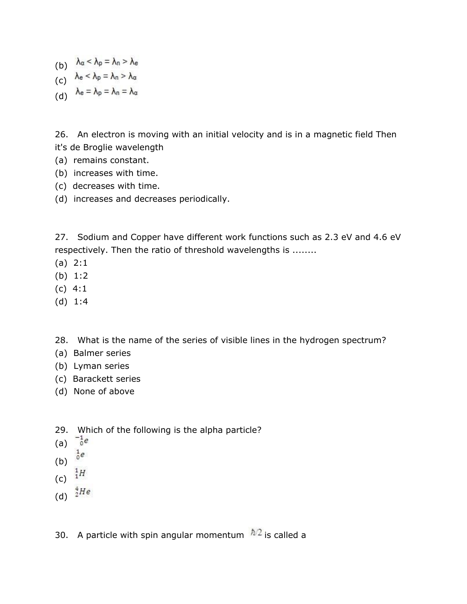- (b)  $\lambda_{\alpha} < \lambda_{p} = \lambda_{n} > \lambda_{e}$
- (c)  $\lambda_e < \lambda_p = \lambda_n > \lambda_\alpha$
- (d)  $\lambda_e = \lambda_p = \lambda_n = \lambda_\alpha$

26. An electron is moving with an initial velocity and is in a magnetic field Then it's de Broglie wavelength

- (a) remains constant.
- (b) increases with time.
- (c) decreases with time.
- (d) increases and decreases periodically.

27. Sodium and Copper have different work functions such as 2.3 eV and 4.6 eV respectively. Then the ratio of threshold wavelengths is ........

- (a) 2:1
- (b) 1:2
- (c) 4:1
- (d) 1:4

28. What is the name of the series of visible lines in the hydrogen spectrum?

- (a) Balmer series
- (b) Lyman series
- (c) Barackett series
- (d) None of above
- 29. Which of the following is the alpha particle?
- (a)  $^{-1}e$
- $\frac{1}{0}e$ (b)
- (c)  $^{1}_{1}H$
- 
- (d)  $\frac{4}{2}He$

30. A particle with spin angular momentum  $\hbar/2$  is called a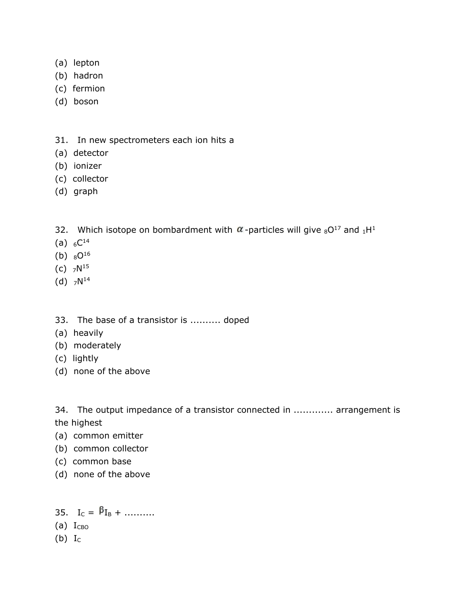- (a) lepton
- (b) hadron
- (c) fermion
- (d) boson
- 31. In new spectrometers each ion hits a
- (a) detector
- (b) ionizer
- (c) collector
- (d) graph
- 32. Which isotope on bombardment with  $\alpha$ -particles will give  $8O^{17}$  and  $1H^1$
- (a)  $_6C^{14}$
- (b)  $80^{16}$
- (c)  $7N^{15}$
- $(d)$   $7N^{14}$
- 33. The base of a transistor is .......... doped
- (a) heavily
- (b) moderately
- (c) lightly
- (d) none of the above

34. The output impedance of a transistor connected in ............. arrangement is the highest

- (a) common emitter
- (b) common collector
- (c) common base
- (d) none of the above

35.  $I_C = \beta_{I_B} + \dots$  $(a)$   $I<sub>CBO</sub>$ 

(b)  $I_C$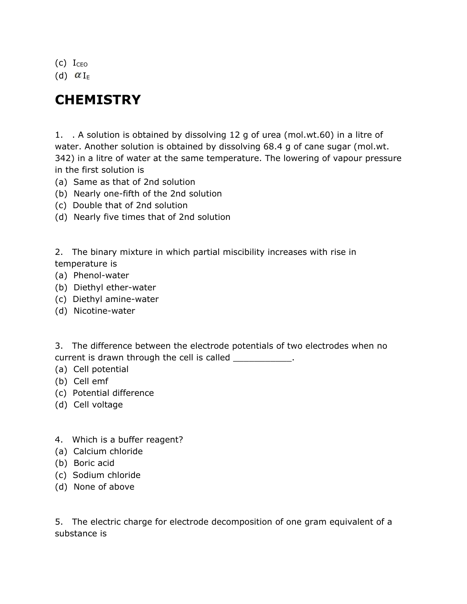$(c)$  Iceo

(d)  $\alpha_{I_{F}}$ 

# **CHEMISTRY**

1. . A solution is obtained by dissolving 12 g of urea (mol.wt.60) in a litre of water. Another solution is obtained by dissolving 68.4 g of cane sugar (mol.wt. 342) in a litre of water at the same temperature. The lowering of vapour pressure in the first solution is

- (a) Same as that of 2nd solution
- (b) Nearly one-fifth of the 2nd solution
- (c) Double that of 2nd solution
- (d) Nearly five times that of 2nd solution

2. The binary mixture in which partial miscibility increases with rise in temperature is

- (a) Phenol-water
- (b) Diethyl ether-water
- (c) Diethyl amine-water
- (d) Nicotine-water

3. The difference between the electrode potentials of two electrodes when no current is drawn through the cell is called \_\_\_\_\_\_\_\_\_\_\_\_.

- (a) Cell potential
- (b) Cell emf
- (c) Potential difference
- (d) Cell voltage
- 4. Which is a buffer reagent?
- (a) Calcium chloride
- (b) Boric acid
- (c) Sodium chloride
- (d) None of above

5. The electric charge for electrode decomposition of one gram equivalent of a substance is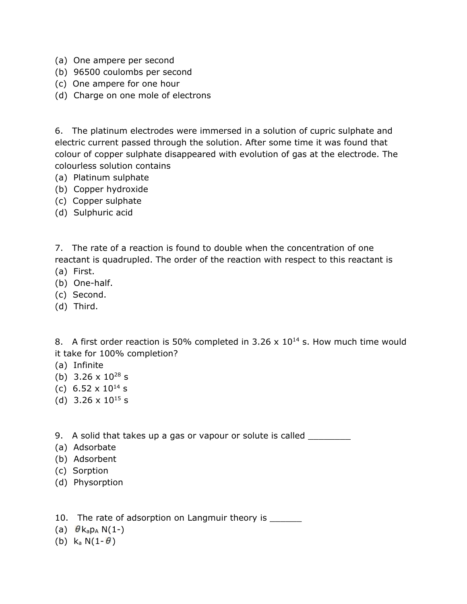- (a) One ampere per second
- (b) 96500 coulombs per second
- (c) One ampere for one hour
- (d) Charge on one mole of electrons

6. The platinum electrodes were immersed in a solution of cupric sulphate and electric current passed through the solution. After some time it was found that colour of copper sulphate disappeared with evolution of gas at the electrode. The colourless solution contains

- (a) Platinum sulphate
- (b) Copper hydroxide
- (c) Copper sulphate
- (d) Sulphuric acid

7. The rate of a reaction is found to double when the concentration of one reactant is quadrupled. The order of the reaction with respect to this reactant is

- (a) First.
- (b) One-half.
- (c) Second.
- (d) Third.

8. A first order reaction is 50% completed in 3.26  $\times$  10<sup>14</sup> s. How much time would it take for 100% completion?

- (a) Infinite
- (b)  $3.26 \times 10^{28}$  s
- (c) 6.52  $\times$  10<sup>14</sup> s
- (d)  $3.26 \times 10^{15}$  s

9. A solid that takes up a gas or vapour or solute is called \_\_\_\_\_\_\_\_\_

- (a) Adsorbate
- (b) Adsorbent
- (c) Sorption
- (d) Physorption

10. The rate of adsorption on Langmuir theory is \_\_\_\_\_\_\_

- (a)  $\theta$  k<sub>a</sub>p<sub>A</sub> N(1-)
- (b)  $k_a N(1-\theta)$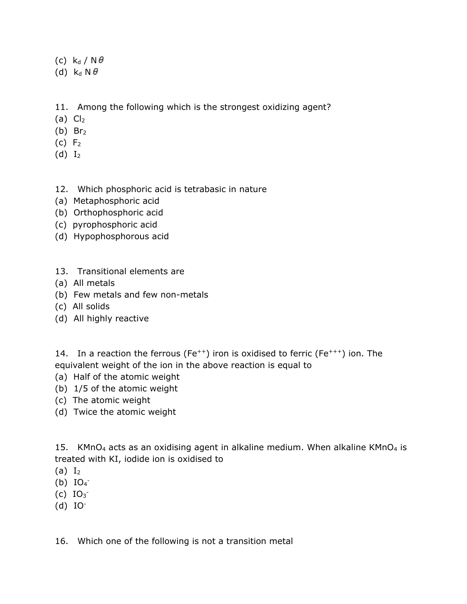- (c)  $k_d / N \theta$
- (d)  $k_d N \theta$
- 11. Among the following which is the strongest oxidizing agent?
- (a)  $Cl<sub>2</sub>$
- $(b)$  Br<sub>2</sub>
- $(c) F<sub>2</sub>$
- $(d) I<sub>2</sub>$

#### 12. Which phosphoric acid is tetrabasic in nature

- (a) Metaphosphoric acid
- (b) Orthophosphoric acid
- (c) pyrophosphoric acid
- (d) Hypophosphorous acid
- 13. Transitional elements are
- (a) All metals
- (b) Few metals and few non-metals
- (c) All solids
- (d) All highly reactive

14. In a reaction the ferrous (Fe<sup>++</sup>) iron is oxidised to ferric (Fe<sup>+++</sup>) ion. The equivalent weight of the ion in the above reaction is equal to

- (a) Half of the atomic weight
- (b) 1/5 of the atomic weight
- (c) The atomic weight
- (d) Twice the atomic weight

15. KMnO<sub>4</sub> acts as an oxidising agent in alkaline medium. When alkaline KMnO<sub>4</sub> is treated with KI, iodide ion is oxidised to

- $(a) I<sub>2</sub>$
- $(b)$   $IO<sub>4</sub>$
- $(C)$   $IO_{3}^{-}$
- $(d)$  IO<sup>-</sup>

16. Which one of the following is not a transition metal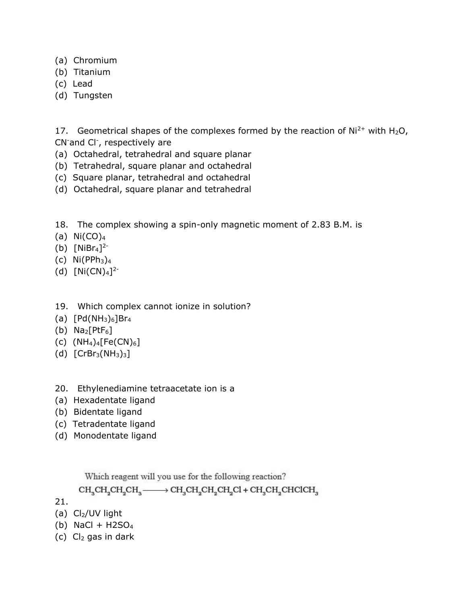- (a) Chromium
- (b) Titanium
- (c) Lead
- (d) Tungsten

17. Geometrical shapes of the complexes formed by the reaction of  $Ni<sup>2+</sup>$  with H<sub>2</sub>O, CN-and Cl- , respectively are

- (a) Octahedral, tetrahedral and square planar
- (b) Tetrahedral, square planar and octahedral
- (c) Square planar, tetrahedral and octahedral
- (d) Octahedral, square planar and tetrahedral
- 18. The complex showing a spin-only magnetic moment of 2.83 B.M. is
- (a)  $Ni(CO)<sub>4</sub>$
- (b)  $[NiBr_4]^{2-}$
- (c)  $Ni(PPh<sub>3</sub>)<sub>4</sub>$
- (d)  $[Ni(CN)<sub>4</sub>]<sup>2</sup>$
- 19. Which complex cannot ionize in solution?
- (a)  $[Pd(NH_3)_6]Br_4$
- (b)  $\text{Na}_2[\text{PtF}_6]$
- (c)  $(NH_4)_4[Fe(CN)_6]$
- (d)  $[CFBr<sub>3</sub>(NH<sub>3</sub>)<sub>3</sub>]$
- 20. Ethylenediamine tetraacetate ion is a
- (a) Hexadentate ligand
- (b) Bidentate ligand
- (c) Tetradentate ligand
- (d) Monodentate ligand

Which reagent will you use for the following reaction?

 $CH_{3}CH_{2}CH_{2}CH_{3} \longrightarrow CH_{3}CH_{2}CH_{2}CH_{2}Cl + CH_{3}CH_{2}CHCHCH_{3}$ 

21.

(a)  $Cl<sub>2</sub>/UV$  light

- (b) NaCl +  $H2SO<sub>4</sub>$
- (c)  $Cl<sub>2</sub>$  gas in dark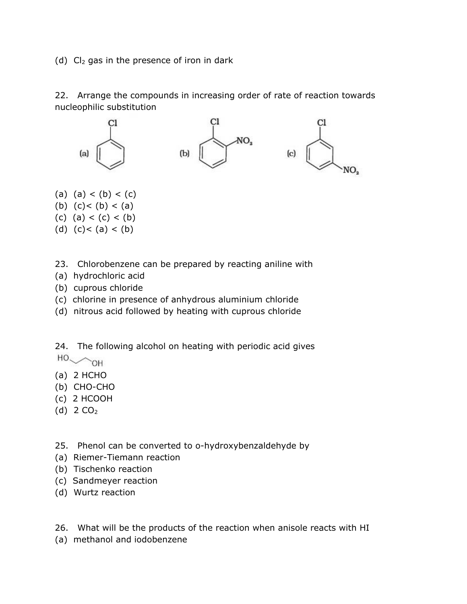(d)  $Cl<sub>2</sub>$  gas in the presence of iron in dark

22. Arrange the compounds in increasing order of rate of reaction towards nucleophilic substitution



- (a)  $(a) < (b) < (c)$
- (b)  $(c) < (b) < (a)$
- (c) (a) < (c) < (b)
- (d)  $(c) < (a) < (b)$
- 23. Chlorobenzene can be prepared by reacting aniline with
- (a) hydrochloric acid
- (b) cuprous chloride
- (c) chlorine in presence of anhydrous aluminium chloride
- (d) nitrous acid followed by heating with cuprous chloride

24. The following alcohol on heating with periodic acid gives  $HO \sim OH$ 

- (a) 2 HCHO
- (b) CHO-CHO
- (c) 2 HCOOH
- (d)  $2 CO<sub>2</sub>$
- 25. Phenol can be converted to o-hydroxybenzaldehyde by
- (a) Riemer-Tiemann reaction
- (b) Tischenko reaction
- (c) Sandmeyer reaction
- (d) Wurtz reaction
- 26. What will be the products of the reaction when anisole reacts with HI
- (a) methanol and iodobenzene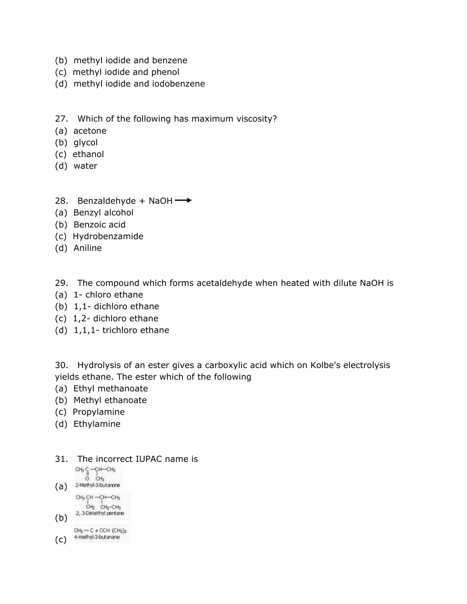- (b) methyl iodide and benzene
- (c) methyl iodide and phenol
- (d) methyl iodide and iodobenzene
- 27. Which of the following has maximum viscosity?
- (a) acetone
- (b) glycol
- (c) ethanol
- (d) water
- 28. Benzaldehyde + NaOH $\rightarrow$
- (a) Benzyl alcohol
- (b) Benzoic acid
- (c) Hydrobenzamide
- (d) Aniline
- 29. The compound which forms acetaldehyde when heated with dilute NaOH is
- (a) 1- chloro ethane
- (b) 1,1- dichloro ethane
- (c) 1,2- dichloro ethane
- (d) 1,1,1- trichloro ethane

30. Hydrolysis of an ester gives a carboxylic acid which on Kolbe's electrolysis yields ethane. The ester which of the following

- (a) Ethyl methanoate
- (b) Methyl ethanoate
- (c) Propylamine
- (d) Ethylamine
- 31. The incorrect IUPAC name is

 $\begin{array}{c} CH_3 C - CH - CH_3 \\ 0 \\ CO + B_3 \end{array}$ 

- (a) 2-Methyl-3-butanone CH<sub>3</sub> CH-CH-CH<sub>3</sub>
- $CH<sub>2</sub>$   $CH<sub>2</sub>-CH<sub>3</sub>$  $(b)$  2, 3-Dimethyl pertane

 $CH<sub>3</sub> - C$  = CCH  $(CH<sub>3</sub>)<sub>2</sub>$ (C) 4-methyl-3-butanane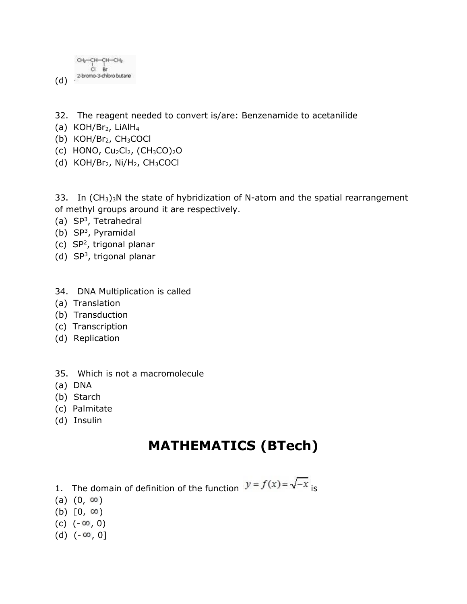CH3-CH-CH-CH3  $CI$  Br 2-bromo-3-chloro butane (d)

- 32. The reagent needed to convert is/are: Benzenamide to acetanilide
- (a)  $KOH/Br_2$ , LiAlH<sub>4</sub>
- (b)  $KOH/Br<sub>2</sub>$ ,  $CH<sub>3</sub>COCl$
- (c) HONO,  $Cu<sub>2</sub>Cl<sub>2</sub>$ ,  $(CH<sub>3</sub>CO)<sub>2</sub>O$
- (d) KOH/Br<sub>2</sub>, Ni/H<sub>2</sub>, CH<sub>3</sub>COCl

33. In  $(CH_3)_3N$  the state of hybridization of N-atom and the spatial rearrangement of methyl groups around it are respectively.

- (a) SP<sup>3</sup>, Tetrahedral
- $(b)$  SP<sup>3</sup>, Pyramidal
- $(c)$  SP<sup>2</sup>, trigonal planar
- $(d)$  SP<sup>3</sup>, trigonal planar
- 34. DNA Multiplication is called
- (a) Translation
- (b) Transduction
- (c) Transcription
- (d) Replication
- 35. Which is not a macromolecule
- (a) DNA
- (b) Starch
- (c) Palmitate
- (d) Insulin

### **MATHEMATICS (BTech)**

- 1. The domain of definition of the function  $y = f(x) = \sqrt{-x}$  is
- $(a)$   $(0, \infty)$
- (b)  $[0, \infty)$
- $(c)$   $(-\infty, 0)$
- (d)  $(-\infty, 0]$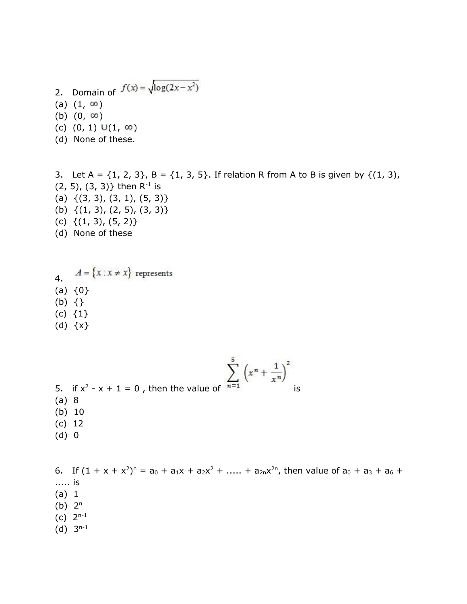- 2. Domain of  $f(x) = \sqrt{\log(2x x^2)}$ (a)  $(1, \infty)$ (b)  $(0, \infty)$ (c)  $(0, 1) \cup (1, \infty)$ (d) None of these.
- 3. Let A =  $\{1, 2, 3\}$ , B =  $\{1, 3, 5\}$ . If relation R from A to B is given by  $\{(1, 3),$  $(2, 5)$ ,  $(3, 3)$ } then R<sup>-1</sup> is (a)  $\{(3, 3), (3, 1), (5, 3)\}$ (b) {(1, 3), (2, 5), (3, 3)} (c)  $\{(1, 3), (5, 2)\}$ (d) None of these
- $A = \{x : x \neq x\}$  represents 4.  $(a) \{0\}$ (b) {} (c) {1}
- (d) {x}
- 5. if  $x^2 x + 1 = 0$ , then the value of  $n=1$  is (a) 8 (b) 10 (c) 12 (d) 0

6. If  $(1 + x + x^2)^n = a_0 + a_1x + a_2x^2 + \dots + a_{2n}x^{2n}$ , then value of  $a_0 + a_3 + a_6 + a_7$ ..... is (a) 1  $(b)$   $2<sup>n</sup>$  $(c)$  2<sup>n-1</sup>

 $(d)$  3<sup>n-1</sup>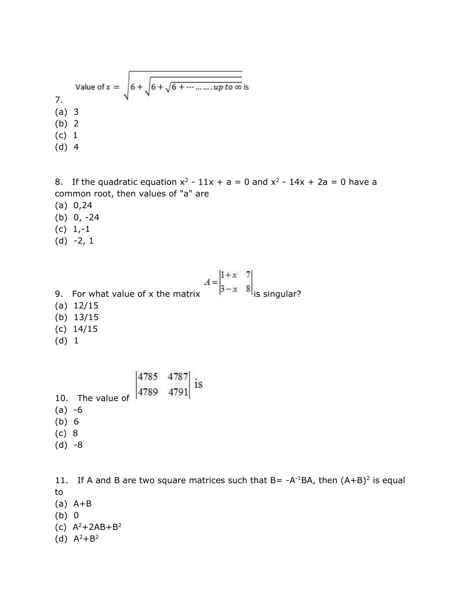Value of 
$$
x = \sqrt{6 + \sqrt{6 + \dots + \dots + \dots + \text{pto}\infty}}
$$
 is  
\n(a) 3  
\n(b) 2  
\n(c) 1  
\n(d) 4

8. If the quadratic equation  $x^2 - 11x + a = 0$  and  $x^2 - 14x + 2a = 0$  have a common root, then values of "a" are

- (a) 0,24
- (b) 0, -24
- $(c) 1,-1$
- $(d) -2, 1$

9. For what value of x the matrix  $A = \begin{vmatrix} 1+x & 7 \\ 3-x & 8 \end{vmatrix}$  is singular? (a) 12/15 (b) 13/15 (c) 14/15 (d) 1

10. The value of 
$$
\begin{vmatrix} 4785 & 4787 \\ 4789 & 4791 \end{vmatrix}
$$
 is  
(a) -6  
(b) 6  
(c) 8  
(d) -8

11. If A and B are two square matrices such that  $B = -A^{-1}BA$ , then  $(A+B)^2$  is equal to (a) A+B (b) 0 (c)  $A^2 + 2AB + B^2$ 

(d)  $A^2 + B^2$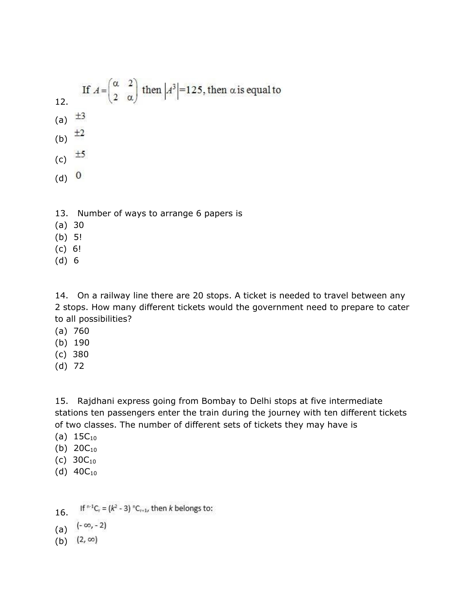If 
$$
A = \begin{pmatrix} \alpha & 2 \\ 2 & \alpha \end{pmatrix}
$$
 then  $|A^3| = 125$ , then  $\alpha$  is equal to  
\n(a)  $\pm 3$   
\n(b)  $\pm 2$   
\n(c)  $\pm 5$   
\n(d) 0

- 13. Number of ways to arrange 6 papers is
- (a) 30
- (b) 5!
- (c) 6!
- (d) 6

14. On a railway line there are 20 stops. A ticket is needed to travel between any 2 stops. How many different tickets would the government need to prepare to cater to all possibilities?

- (a) 760
- (b) 190
- (c) 380
- (d) 72

15. Rajdhani express going from Bombay to Delhi stops at five intermediate stations ten passengers enter the train during the journey with ten different tickets of two classes. The number of different sets of tickets they may have is

- (a)  $15C_{10}$
- (b)  $20C_{10}$
- (c)  $30C_{10}$
- (d)  $40C_{10}$
- If  ${}^{n-1}C_r = (k^2 3) {}^{n}C_{r+1}$ , then k belongs to: 16.
- (a)  $(-\infty, -2)$
- (b)  $(2, \infty)$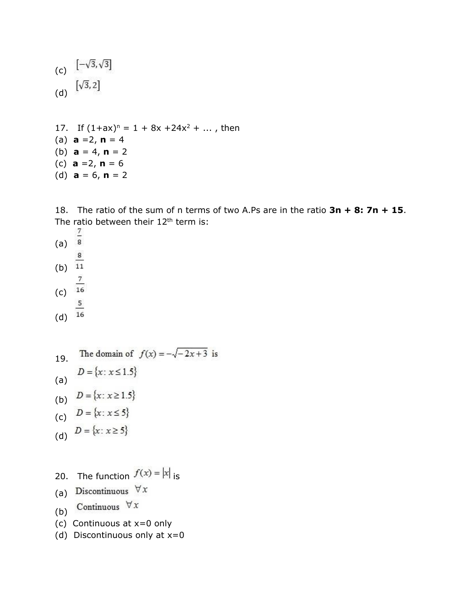(c) 
$$
[-\sqrt{3}, \sqrt{3}]
$$
  
(d)  $[\sqrt{3}, 2]$ 

17. If  $(1+ax)^n = 1 + 8x + 24x^2 + ...$ , then (a)  $a = 2, n = 4$ (b)  $a = 4, n = 2$ (c) **a** =2, **n** = 6 (d)  $a = 6, n = 2$ 

18. The ratio of the sum of n terms of two A.Ps are in the ratio **3n + 8: 7n + 15**. The ratio between their  $12<sup>th</sup>$  term is:

- (a)  $\frac{7}{8}$ (b)  $\frac{8}{11}$ (c)  $\frac{7}{16}$ (d)  $\frac{5}{16}$
- The domain of  $f(x) = -\sqrt{-2x+3}$  is 19.  $D=\{x\colon x\!\leq\!1.5\}$ (a) (b) (c) (d)  $D = \{x : x \ge 5\}$

20. The function 
$$
f(x) = |x|_{is}
$$

- (a) Discontinuous  $\forall x$
- Continuous  $\forall x$ (b)
- (c) Continuous at x=0 only
- (d) Discontinuous only at  $x=0$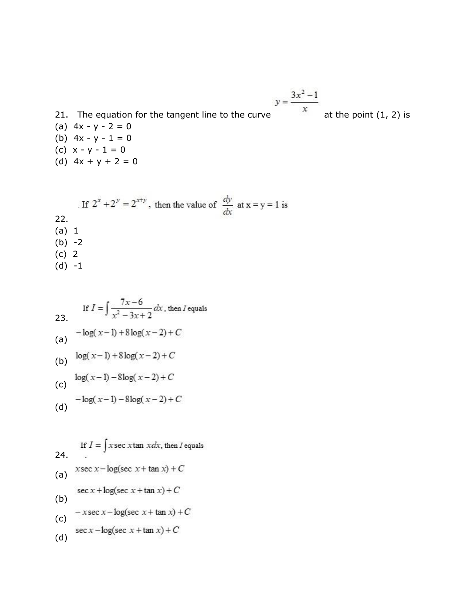21. The equation for the tangent line to the curve 
$$
y = \frac{3x^2 - 1}{x}
$$
 at the point (1, 2) is  
(a)  $4x - y - 2 = 0$ 

- (a)  $4x y 2 = 0$ (b)  $4x - y - 1 = 0$
- (c)  $x y 1 = 0$
- (d)  $4x + y + 2 = 0$

If 
$$
2^x + 2^y = 2^{x+y}
$$
, then the value of  $\frac{dy}{dx}$  at  $x = y = 1$  is  
22.  
(a) 1  
(b) -2  
(c) 2  
(d) -1

If 
$$
I = \int \frac{7x-6}{x^2 - 3x + 2} dx
$$
, then I equals  
\n(a)  $-\log(x-1) + 8\log(x-2) + C$   
\n(b)  $\log(x-1) + 8\log(x-2) + C$   
\n(c)  $\log(x-1) - 8\log(x-2) + C$   
\n(d)  $-\log(x-1) - 8\log(x-2) + C$ 

(d) 
$$
\log(x + 1) = \log(x)
$$

If 
$$
I = \int x \sec x \tan x dx
$$
, then I equals  
\n24.  
\n(a)  $x \sec x - \log(\sec x + \tan x) + C$   
\n $\sec x + \log(\sec x + \tan x) + C$   
\n(b)  $-x \sec x - \log(\sec x + \tan x) + C$   
\n $\sec x - \log(\sec x + \tan x) + C$   
\n(d)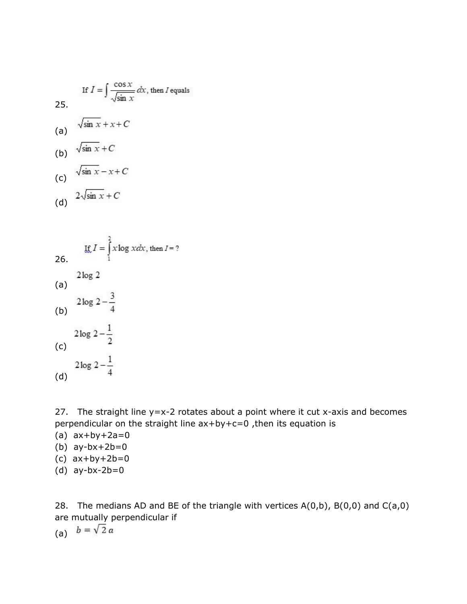If 
$$
I = \int \frac{\cos x}{\sqrt{\sin x}} dx
$$
, then I equals  
\n25.  
\n(a)  $\sqrt{\sin x} + x + C$   
\n(b)  $\sqrt{\sin x} + C$   
\n(c)  $\sqrt{\sin x} - x + C$   
\n(d)  $2\sqrt{\sin x} + C$ 

26. If 
$$
I = \int_{1}^{2} x \log x dx
$$
, then  $I = ?$   
\n(a)  $2 \log 2$   
\n(b)  $2 \log 2 - \frac{3}{4}$   
\n(c)  $2 \log 2 - \frac{1}{2}$   
\n(d)

27. The straight line  $y=x-2$  rotates about a point where it cut x-axis and becomes perpendicular on the straight line ax+by+c=0 ,then its equation is

- (a)  $ax+by+2a=0$
- (b) ay-bx+2b=0
- (c) ax+by+2b=0
- (d) ay-bx-2b=0

28. The medians AD and BE of the triangle with vertices  $A(0,b)$ ,  $B(0,0)$  and  $C(a,0)$ are mutually perpendicular if

(a)  $b = \sqrt{2} a$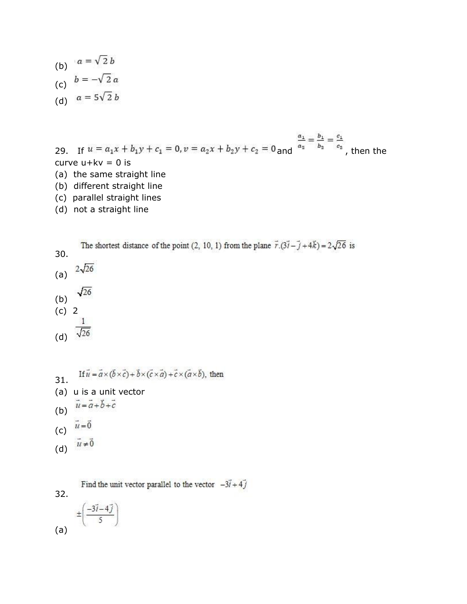(b)  $a = \sqrt{2} b$ (c) (d)

29. If  $u = a_1x + b_1y + c_1 = 0$ ,  $v = a_2x + b_2y + c_2 = 0$  and  $\frac{a_1}{a_2} = \frac{b_1}{b_2} = \frac{c_1}{c_2}$ , then the curve  $u+kv = 0$  is (a) the same straight line

- (b) different straight line
- (c) parallel straight lines
- (d) not a straight line

The shortest distance of the point (2, 10, 1) from the plane  $\vec{r}\cdot(3\vec{i}-\vec{j}+4\vec{k})=2\sqrt{26}$  is 30. (a)  $2\sqrt{26}$ 

- $\sqrt{26}$
- (b) (c) 2
- 

(d) 
$$
\sqrt{26}
$$

 $\mathbf{1}$ 

- If  $\vec{u} = \vec{a} \times (\vec{b} \times \vec{c}) + \vec{b} \times (\vec{c} \times \vec{a}) + \vec{c} \times (\vec{a} \times \vec{b})$ , then 31. (a) u is a unit vector  $\vec{u} = \vec{a} + \vec{b} + \vec{c}$ (b)  $\vec{u} = \vec{0}$
- (c)  $\vec{u} \neq \vec{0}$
- (d)

Find the unit vector parallel to the vector  $-3\vec{i} + 4\vec{j}$ 

32.  
\n
$$
\pm \left(\frac{-3\vec{i} - 4\vec{j}}{5}\right)
$$
\n(a)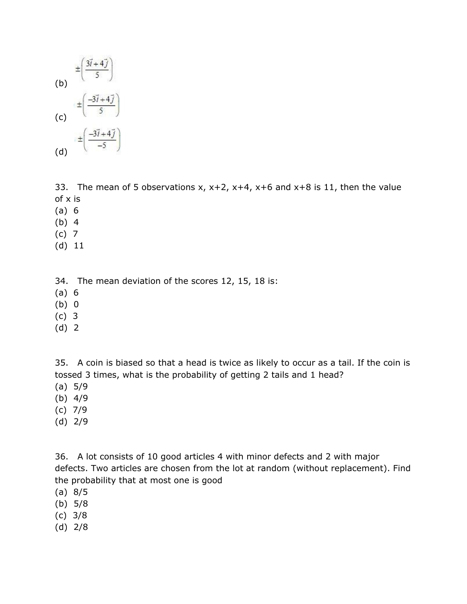

33. The mean of 5 observations  $x$ ,  $x+2$ ,  $x+4$ ,  $x+6$  and  $x+8$  is 11, then the value of x is

- (a) 6
- (b) 4
- (c) 7
- (d) 11

34. The mean deviation of the scores 12, 15, 18 is:

- (a) 6
- (b) 0
- (c) 3
- (d) 2

35. A coin is biased so that a head is twice as likely to occur as a tail. If the coin is tossed 3 times, what is the probability of getting 2 tails and 1 head?

- (a) 5/9
- (b) 4/9
- (c) 7/9
- (d) 2/9

36. A lot consists of 10 good articles 4 with minor defects and 2 with major defects. Two articles are chosen from the lot at random (without replacement). Find the probability that at most one is good

- (a) 8/5
- (b) 5/8
- (c) 3/8
- (d) 2/8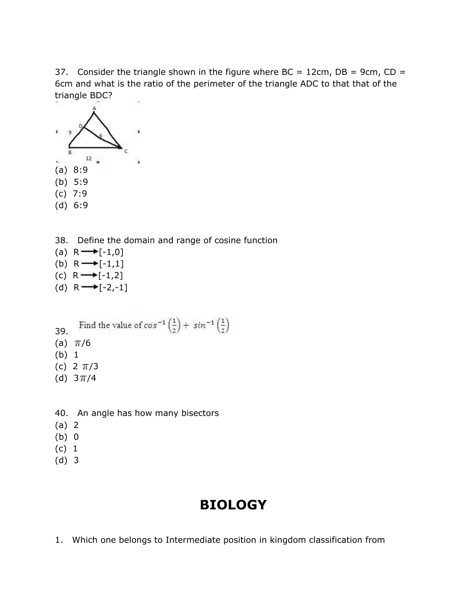37. Consider the triangle shown in the figure where  $BC = 12$ cm,  $DB = 9$ cm,  $CD =$ 6cm and what is the ratio of the perimeter of the triangle ADC to that that of the triangle BDC?



- 38. Define the domain and range of cosine function
- (a)  $R \rightarrow [-1,0]$
- (b)  $R \rightarrow [-1,1]$
- (c)  $R \rightarrow [-1,2]$
- (d)  $R \rightarrow [-2,-1]$
- Find the value of  $cos^{-1}\left(\frac{1}{2}\right) + sin^{-1}\left(\frac{1}{2}\right)$ 39.
- (a)  $\pi/6$
- (b) 1
- (c)  $2 \pi/3$
- (d)  $3\pi/4$
- 40. An angle has how many bisectors
- (a) 2
- (b) 0
- (c) 1
- (d) 3

# **BIOLOGY**

1. Which one belongs to Intermediate position in kingdom classification from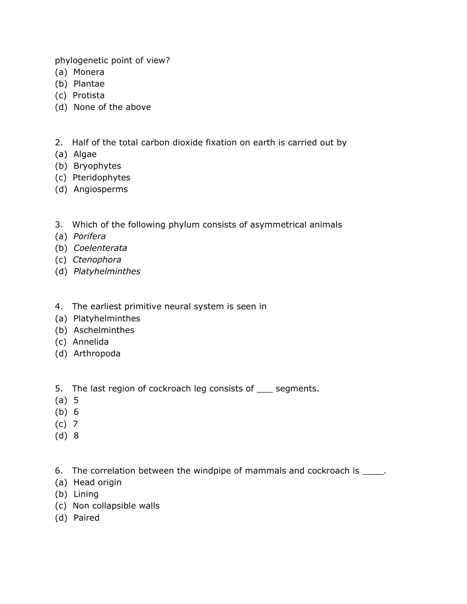phylogenetic point of view?

- (a) Monera
- (b) Plantae
- (c) Protista
- (d) None of the above
- 2. Half of the total carbon dioxide fixation on earth is carried out by
- (a) Algae
- (b) Bryophytes
- (c) Pteridophytes
- (d) Angiosperms
- 3. Which of the following phylum consists of asymmetrical animals
- (a) *Porifera*
- (b) *Coelenterata*
- (c) *Ctenophora*
- (d) *Platyhelminthes*
- 4. The earliest primitive neural system is seen in
- (a) Platyhelminthes
- (b) Aschelminthes
- (c) Annelida
- (d) Arthropoda
- 5. The last region of cockroach leg consists of \_\_\_ segments.
- (a) 5
- (b) 6
- (c) 7
- (d) 8

6. The correlation between the windpipe of mammals and cockroach is \_\_\_\_\_.

- (a) Head origin
- (b) Lining
- (c) Non collapsible walls
- (d) Paired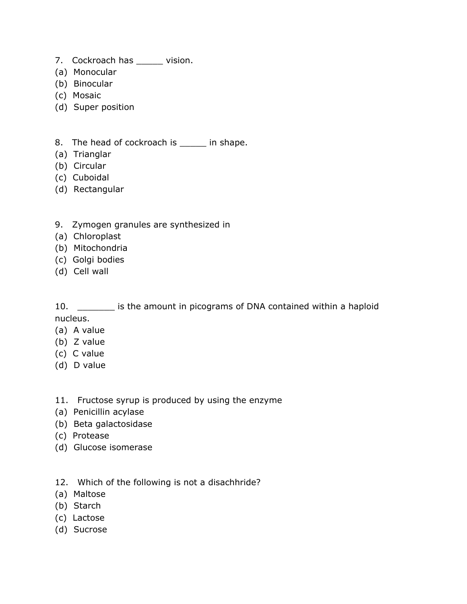- 7. Cockroach has \_\_\_\_\_\_ vision.
- (a) Monocular
- (b) Binocular
- (c) Mosaic
- (d) Super position
- 8. The head of cockroach is \_\_\_\_\_ in shape.
- (a) Trianglar
- (b) Circular
- (c) Cuboidal
- (d) Rectangular
- 9. Zymogen granules are synthesized in
- (a) Chloroplast
- (b) Mitochondria
- (c) Golgi bodies
- (d) Cell wall

10. \_\_\_\_\_\_\_ is the amount in picograms of DNA contained within a haploid nucleus.

- (a) A value
- (b) Z value
- (c) C value
- (d) D value

#### 11. Fructose syrup is produced by using the enzyme

- (a) Penicillin acylase
- (b) Beta galactosidase
- (c) Protease
- (d) Glucose isomerase
- 12. Which of the following is not a disachhride?
- (a) Maltose
- (b) Starch
- (c) Lactose
- (d) Sucrose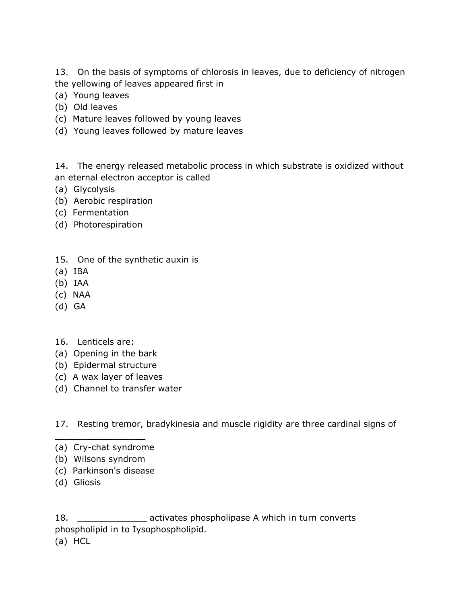13. On the basis of symptoms of chlorosis in leaves, due to deficiency of nitrogen the yellowing of leaves appeared first in

- (a) Young leaves
- (b) Old leaves
- (c) Mature leaves followed by young leaves
- (d) Young leaves followed by mature leaves

14. The energy released metabolic process in which substrate is oxidized without an eternal electron acceptor is called

- (a) Glycolysis
- (b) Aerobic respiration
- (c) Fermentation
- (d) Photorespiration
- 15. One of the synthetic auxin is
- (a) IBA
- (b) IAA
- (c) NAA
- (d) GA
- 16. Lenticels are:
- (a) Opening in the bark
- (b) Epidermal structure
- (c) A wax layer of leaves
- (d) Channel to transfer water

17. Resting tremor, bradykinesia and muscle rigidity are three cardinal signs of

- $\overline{\phantom{a}}$  , where  $\overline{\phantom{a}}$  , where  $\overline{\phantom{a}}$ (a) Cry-chat syndrome
- (b) Wilsons syndrom
- (c) Parkinson's disease
- (d) Gliosis

18. **\_\_\_\_\_\_\_\_\_\_\_\_\_\_\_** activates phospholipase A which in turn converts phospholipid in to Iysophospholipid.

(a) HCL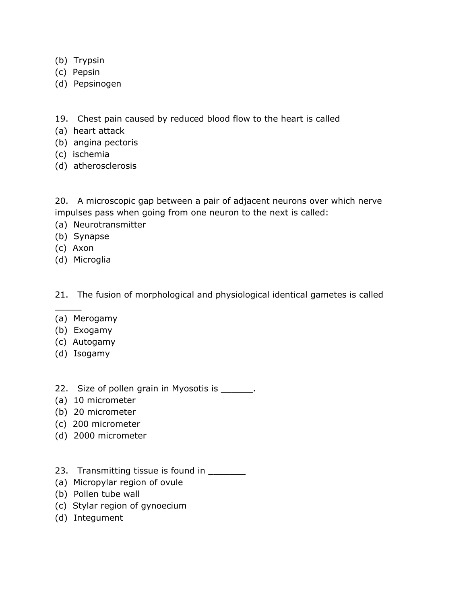- (b) Trypsin
- (c) Pepsin
- (d) Pepsinogen
- 19. Chest pain caused by reduced blood flow to the heart is called
- (a) heart attack
- (b) angina pectoris
- (c) ischemia
- (d) atherosclerosis

20. A microscopic gap between a pair of adjacent neurons over which nerve impulses pass when going from one neuron to the next is called:

- (a) Neurotransmitter
- (b) Synapse
- (c) Axon

 $\frac{1}{2}$ 

(d) Microglia

21. The fusion of morphological and physiological identical gametes is called

- (a) Merogamy
- (b) Exogamy
- (c) Autogamy
- (d) Isogamy

#### 22. Size of pollen grain in Myosotis is \_\_\_\_\_\_.

- (a) 10 micrometer
- (b) 20 micrometer
- (c) 200 micrometer
- (d) 2000 micrometer
- 23. Transmitting tissue is found in
- (a) Micropylar region of ovule
- (b) Pollen tube wall
- (c) Stylar region of gynoecium
- (d) Integument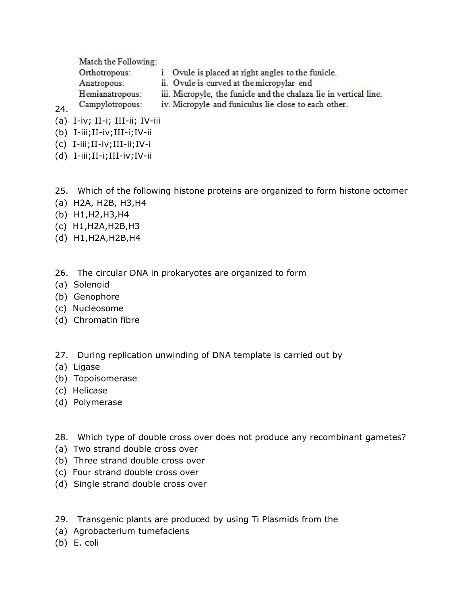Match the Following:

Orthotropous: i Ovule is placed at right angles to the funicle. Anatropous: ii. Ovule is curved at the micropylar end iii. Micropyle, the funicle and the chalaza lie in vertical line. Hemianatropous: iv. Micropyle and funiculus lie close to each other. Campylotropous:

- (a) I-iv; II-i; III-ii; IV-iii
- (b) I-iii;II-iv;III-i;IV-ii

24.

- (c) I-iii;II-iv;III-ii;IV-i
- (d) I-iii;II-i;III-iv;IV-ii

#### 25. Which of the following histone proteins are organized to form histone octomer

- (a) H2A, H2B, H3,H4
- (b) H1,H2,H3,H4
- (c) H1,H2A,H2B,H3
- (d) H1,H2A,H2B,H4
- 26. The circular DNA in prokaryotes are organized to form
- (a) Solenoid
- (b) Genophore
- (c) Nucleosome
- (d) Chromatin fibre
- 27. During replication unwinding of DNA template is carried out by
- (a) Ligase
- (b) Topoisomerase
- (c) Helicase
- (d) Polymerase
- 28. Which type of double cross over does not produce any recombinant gametes?
- (a) Two strand double cross over
- (b) Three strand double cross over
- (c) Four strand double cross over
- (d) Single strand double cross over
- 29. Transgenic plants are produced by using Ti Plasmids from the
- (a) Agrobacterium tumefaciens
- (b) E. coli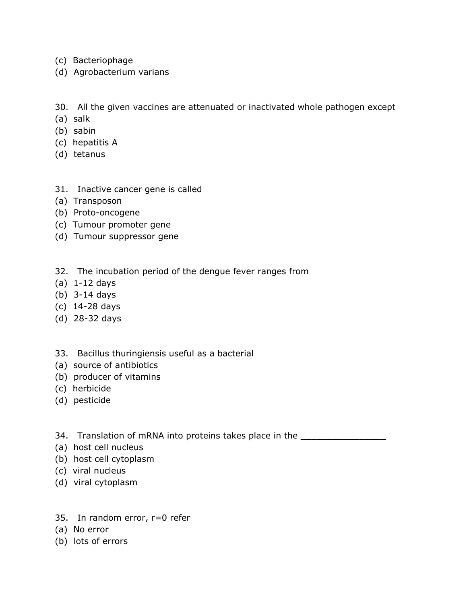- (c) Bacteriophage
- (d) Agrobacterium varians

30. All the given vaccines are attenuated or inactivated whole pathogen except

- (a) salk
- (b) sabin
- (c) hepatitis A
- (d) tetanus
- 31. Inactive cancer gene is called
- (a) Transposon
- (b) Proto-oncogene
- (c) Tumour promoter gene
- (d) Tumour suppressor gene
- 32. The incubation period of the dengue fever ranges from
- (a) 1-12 days
- (b) 3-14 days
- (c) 14-28 days
- (d) 28-32 days
- 33. Bacillus thuringiensis useful as a bacterial
- (a) source of antibiotics
- (b) producer of vitamins
- (c) herbicide
- (d) pesticide
- 34. Translation of mRNA into proteins takes place in the \_\_\_\_\_\_\_\_\_\_\_\_\_\_\_\_\_\_\_\_\_\_\_
- (a) host cell nucleus
- (b) host cell cytoplasm
- (c) viral nucleus
- (d) viral cytoplasm
- 35. In random error, r=0 refer
- (a) No error
- (b) lots of errors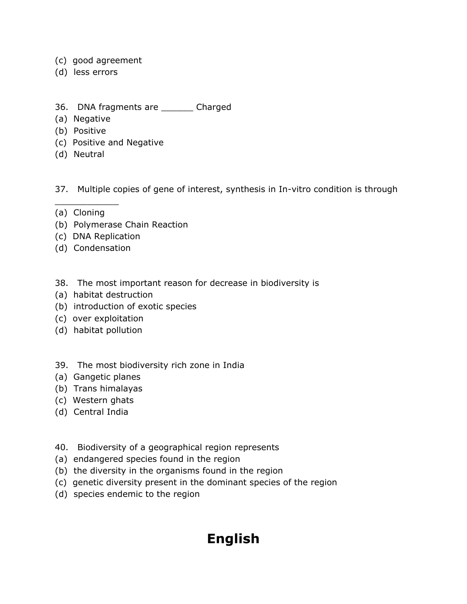- (c) good agreement
- (d) less errors
- 36. DNA fragments are \_\_\_\_\_\_ Charged
- (a) Negative
- (b) Positive
- (c) Positive and Negative
- (d) Neutral

37. Multiple copies of gene of interest, synthesis in In-vitro condition is through

(a) Cloning

 $\frac{1}{2}$  ,  $\frac{1}{2}$  ,  $\frac{1}{2}$  ,  $\frac{1}{2}$  ,  $\frac{1}{2}$  ,  $\frac{1}{2}$  ,  $\frac{1}{2}$ 

- (b) Polymerase Chain Reaction
- (c) DNA Replication
- (d) Condensation
- 38. The most important reason for decrease in biodiversity is
- (a) habitat destruction
- (b) introduction of exotic species
- (c) over exploitation
- (d) habitat pollution
- 39. The most biodiversity rich zone in India
- (a) Gangetic planes
- (b) Trans himalayas
- (c) Western ghats
- (d) Central India
- 40. Biodiversity of a geographical region represents
- (a) endangered species found in the region
- (b) the diversity in the organisms found in the region
- (c) genetic diversity present in the dominant species of the region
- (d) species endemic to the region

### **English**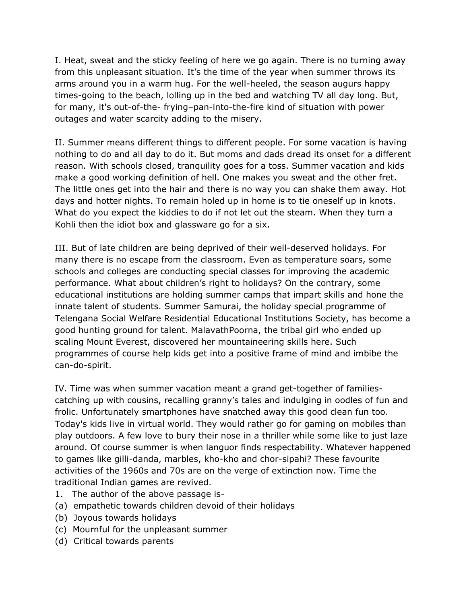I. Heat, sweat and the sticky feeling of here we go again. There is no turning away from this unpleasant situation. It's the time of the year when summer throws its arms around you in a warm hug. For the well-heeled, the season augurs happy times-going to the beach, lolling up in the bed and watching TV all day long. But, for many, it's out-of-the- frying–pan-into-the-fire kind of situation with power outages and water scarcity adding to the misery.

II. Summer means different things to different people. For some vacation is having nothing to do and all day to do it. But moms and dads dread its onset for a different reason. With schools closed, tranquility goes for a toss. Summer vacation and kids make a good working definition of hell. One makes you sweat and the other fret. The little ones get into the hair and there is no way you can shake them away. Hot days and hotter nights. To remain holed up in home is to tie oneself up in knots. What do you expect the kiddies to do if not let out the steam. When they turn a Kohli then the idiot box and glassware go for a six.

III. But of late children are being deprived of their well-deserved holidays. For many there is no escape from the classroom. Even as temperature soars, some schools and colleges are conducting special classes for improving the academic performance. What about children's right to holidays? On the contrary, some educational institutions are holding summer camps that impart skills and hone the innate talent of students. Summer Samurai, the holiday special programme of Telengana Social Welfare Residential Educational Institutions Society, has become a good hunting ground for talent. MalavathPoorna, the tribal girl who ended up scaling Mount Everest, discovered her mountaineering skills here. Such programmes of course help kids get into a positive frame of mind and imbibe the can-do-spirit.

IV. Time was when summer vacation meant a grand get-together of familiescatching up with cousins, recalling granny's tales and indulging in oodles of fun and frolic. Unfortunately smartphones have snatched away this good clean fun too. Today's kids live in virtual world. They would rather go for gaming on mobiles than play outdoors. A few love to bury their nose in a thriller while some like to just laze around. Of course summer is when languor finds respectability. Whatever happened to games like gilli-danda, marbles, kho-kho and chor-sipahi? These favourite activities of the 1960s and 70s are on the verge of extinction now. Time the traditional Indian games are revived.

- 1. The author of the above passage is-
- (a) empathetic towards children devoid of their holidays
- (b) Joyous towards holidays
- (c) Mournful for the unpleasant summer
- (d) Critical towards parents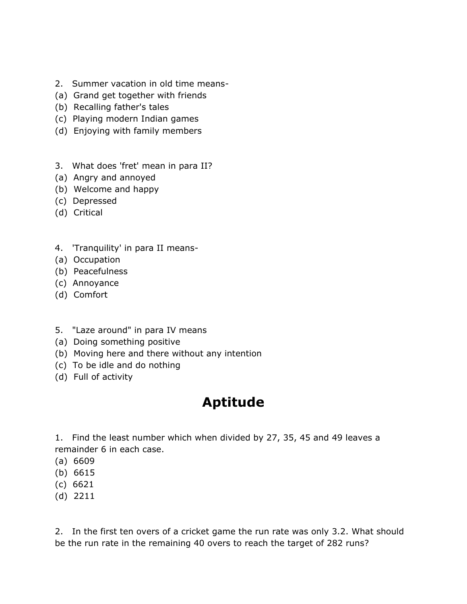- 2. Summer vacation in old time means-
- (a) Grand get together with friends
- (b) Recalling father's tales
- (c) Playing modern Indian games
- (d) Enjoying with family members
- 3. What does 'fret' mean in para II?
- (a) Angry and annoyed
- (b) Welcome and happy
- (c) Depressed
- (d) Critical
- 4. 'Tranquility' in para II means-
- (a) Occupation
- (b) Peacefulness
- (c) Annoyance
- (d) Comfort
- 5. "Laze around" in para IV means
- (a) Doing something positive
- (b) Moving here and there without any intention
- (c) To be idle and do nothing
- (d) Full of activity

## **Aptitude**

1. Find the least number which when divided by 27, 35, 45 and 49 leaves a remainder 6 in each case.

- (a) 6609
- (b) 6615
- (c) 6621
- (d) 2211

2. In the first ten overs of a cricket game the run rate was only 3.2. What should be the run rate in the remaining 40 overs to reach the target of 282 runs?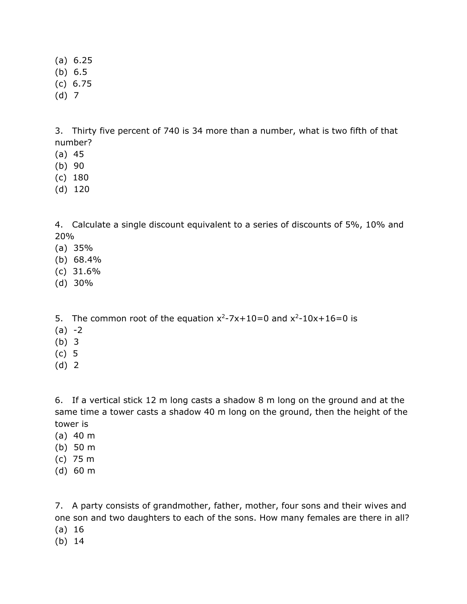(a) 6.25

- (b) 6.5
- (c) 6.75
- (d) 7

3. Thirty five percent of 740 is 34 more than a number, what is two fifth of that number?

- (a) 45
- (b) 90
- (c) 180
- (d) 120

4. Calculate a single discount equivalent to a series of discounts of 5%, 10% and 20%

- (a) 35%
- (b) 68.4%
- (c) 31.6%
- (d) 30%

5. The common root of the equation  $x^2-7x+10=0$  and  $x^2-10x+16=0$  is

- $(a) -2$
- (b) 3
- (c) 5
- (d) 2

6. If a vertical stick 12 m long casts a shadow 8 m long on the ground and at the same time a tower casts a shadow 40 m long on the ground, then the height of the tower is

- (a) 40 m
- (b) 50 m
- (c) 75 m
- (d) 60 m

7. A party consists of grandmother, father, mother, four sons and their wives and one son and two daughters to each of the sons. How many females are there in all?

- (a) 16
- (b) 14